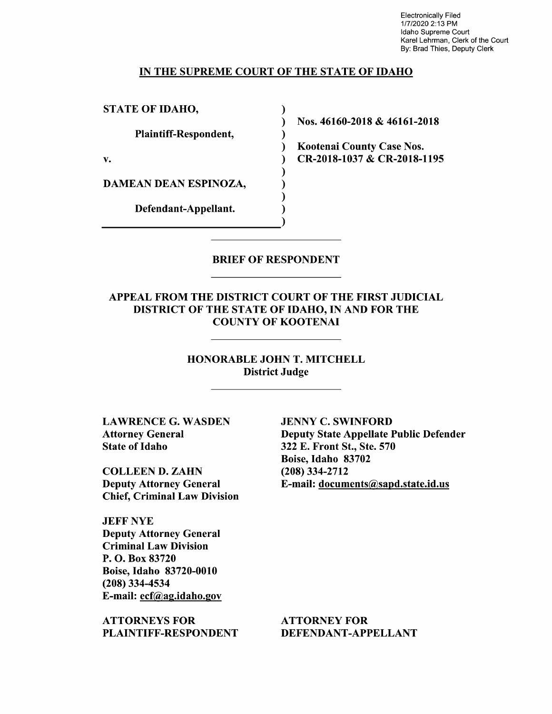Electronically Filed 1/7/2020 2:13 PM Idaho Supreme Court Karel Lehrman, Clerk of the Court By: Brad Thies, Deputy Clerk

### IN THE SUPREME COURT OF THE STATE OF IDAHO

 $\lambda$ 

STATE OF IDAHO,

Plaintiff—Respondent,

DAMEAN DEAN ESPINOZA,

Defendant—Appellant.

Nos. 46160-2018 46161-2018

Kootenai County Case Nos. v. (a) CR-2018-1037 & CR-2018-1195

### BRIEF OF RESPONDENT

APPEAL FROM THE DISTRICT COURT OF THE FIRST JUDICIAL DISTRICT OF THE STATE OF IDAHO, IN AND FOR THE COUNTY OF KOOTENAI

> HONORABLE JOHN T. MITCHELL District Judge

LAWRENCE G. WASDEN Attorney General State 0f Idaho

COLLEEN D. ZAHN Deputy Attorney General Chief, Criminal Law Division

JEFF NYE Deputy Attorney General Criminal Law Division P. O. Box 83720 Boise, Idaho 83720-0010 (208) 334-4534 E-mail: ecf@ag.idah0.gov

ATTORNEYS FOR PLAINTIFF—RESPONDENT

JENNY C. SWINFORD Deputy State Appellate Public Defender 322 E. Front St., Ste. 570 Boise, Idaho 83702 (208) 334-2712 E-mail: documents@sapd.state.id.us

ATTORNEY FOR DEFENDANT-APPELLANT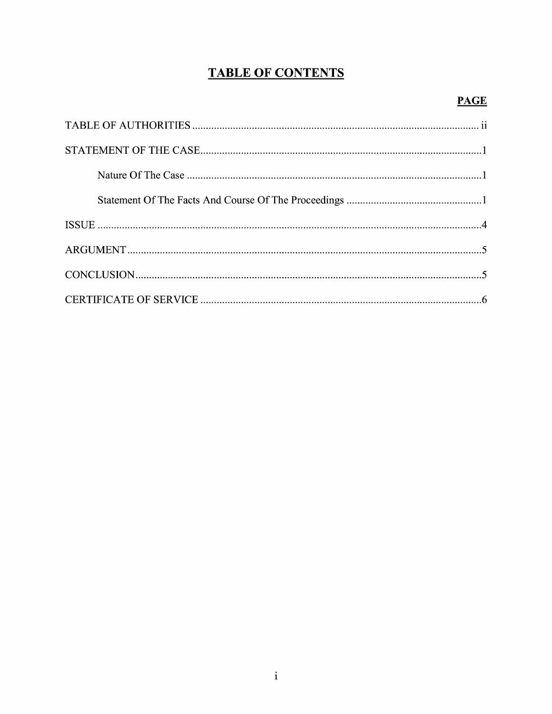# **TABLE OF CONTENTS**

## **PAGE**

| $\textbf{STATEMENT OF THE CASE} \textcolor{red}{\textbf{STATEMENT}} \textbf{OF THE CASE} \textcolor{red}{\textbf{STATEMENT}} \textbf{OF} \textbf{THE CASE} \textcolor{red}{\textbf{STATEMENT}} \textbf{SP} \textbf{SP} \textbf{SP} \textbf{SP} \textbf{SP} \textbf{SP} \textbf{SP} \textbf{SP} \textbf{SP} \textbf{SP} \textbf{SP} \textbf{SP} \textbf{SP} \textbf{SP} \textbf{SP} \textbf{SP} \textbf{SP} \textbf{SP} \textbf{SP} \textbf{SP} \textbf{SP} \textbf{SP} \textbf{SP} \textbf{SP}$ |  |
|-------------------------------------------------------------------------------------------------------------------------------------------------------------------------------------------------------------------------------------------------------------------------------------------------------------------------------------------------------------------------------------------------------------------------------------------------------------------------------------------------|--|
|                                                                                                                                                                                                                                                                                                                                                                                                                                                                                                 |  |
|                                                                                                                                                                                                                                                                                                                                                                                                                                                                                                 |  |
|                                                                                                                                                                                                                                                                                                                                                                                                                                                                                                 |  |
|                                                                                                                                                                                                                                                                                                                                                                                                                                                                                                 |  |
|                                                                                                                                                                                                                                                                                                                                                                                                                                                                                                 |  |
|                                                                                                                                                                                                                                                                                                                                                                                                                                                                                                 |  |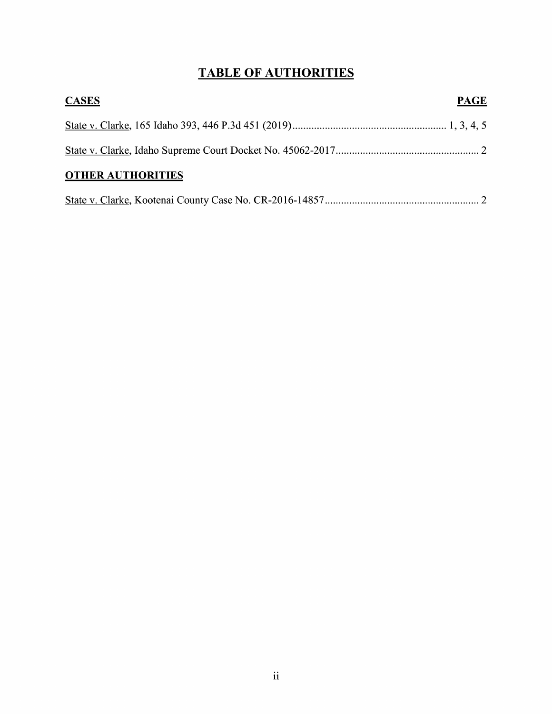# TABLE OF AUTHORITIES

| <b>CASES</b>             | <b>PAGE</b> |
|--------------------------|-------------|
|                          |             |
|                          |             |
| <b>OTHER AUTHORITIES</b> |             |
|                          |             |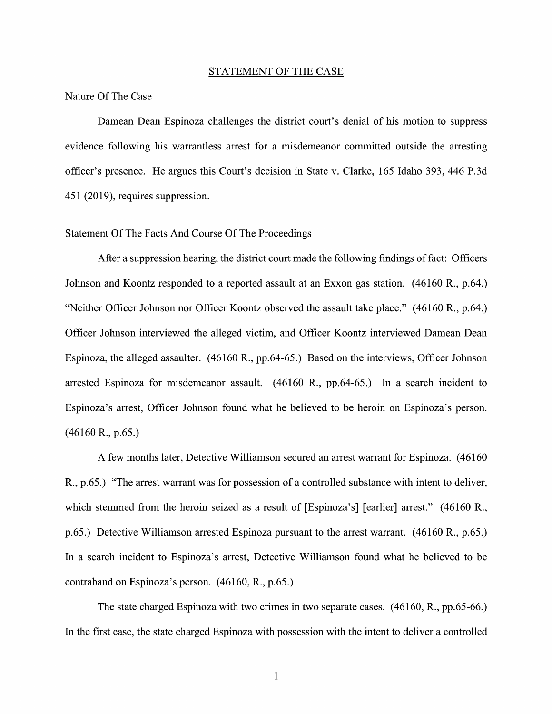#### STATEMENT OF THE CASE

#### Nature Of The Case

Damean Dean Espinoza challenges the district court's denial 0f his motion t0 suppress evidence following his warrantless arrest for a misdemeanor committed outside the arresting officer's presence. He argues this Court's decision in State V. Clarke, 165 Idaho 393, 446 P.3d 451 (2019), requires suppression.

#### Statement Of The Facts And Course Of The Proceedings

After a suppression hearing, the district court made the following findings of fact: Officers Johnson and Koontz responded to a reported assault at an Exxon gas station. (46160 R., p.64.) "Neither Officer Johnson nor Officer Koontz observed the assault take place." (46160 R., p.64.) Officer Johnson interviewed the alleged Victim, and Officer Koontz interviewed Damean Dean Espinoza, the alleged assaulter. (46160 R., pp.64-65.) Based 0n the interviews, Officer Johnson arrested Espinoza for misdemeanor assault.  $(46160 \text{ R}., pp.64-65.)$  In a search incident to Espinoza's arrest, Officer Johnson found what he believed to be heroin on Espinoza's person. (46160 R., p.65.)

few months later, Detective Williamson secured an arrest warrant for Espinoza. (46160 R., p.65.) "The arrest warrant was for possession of a controlled substance with intent to deliver, which stemmed from the heroin seized as a result of [Espinoza's] [earlier] arrest." (46160 R., p.65.) Detective Williamson arrested Espinoza pursuant to the arrest warrant. (46160 R., p.65.) In a search incident to Espinoza's arrest, Detective Williamson found what he believed to be contraband 0n Espinoza's person. (46160, R., p.65.)

The state charged Espinoza With two crimes in two separate cases. (46160, R., pp.65-66.) In the first case, the state charged Espinoza with possession with the intent to deliver a controlled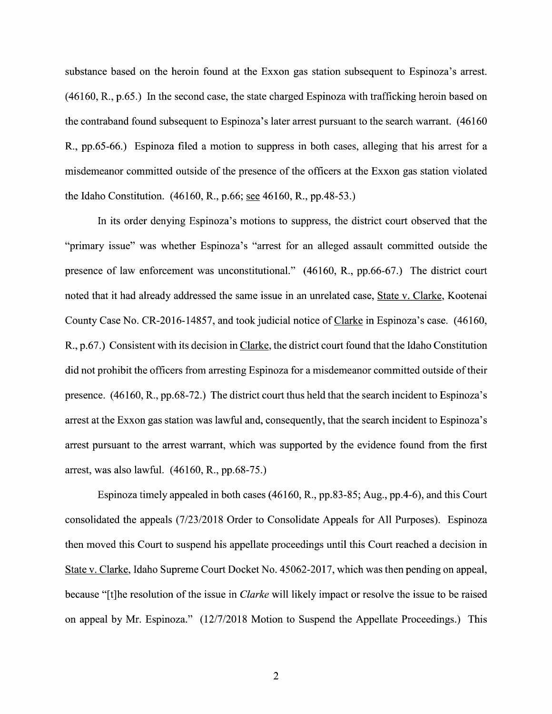substance based on the heroin found at the Exxon gas station subsequent to Espinoza's arrest. (46160, R., p.65.) In the second case, the state charged Espinoza With trafficking heroin based on the contraband found subsequent to Espinoza's later arrest pursuant to the search warrant. (46160 R., pp.65-66.) Espinoza filed a motion to suppress in both cases, alleging that his arrest for a misdemeanor committed outside of the presence of the officers at the Exxon gas station violated the Idaho Constitution. (46160, R., p.66; see 46160, R., pp.48-53.)

In its order denying Espinoza's motions to suppress, the district court observed that the "primary issue" was Whether Espinoza's "arrest for an alleged assault committed outside the presence 0f law enforcement was unconstitutional." (46160, R., pp.66-67.) The district court noted that it had already addressed the same issue in an unrelated case, State V. Clarke, Kootenai County Case No. CR-2016-14857, and took judicial notice of Clarke in Espinoza's case. (46160,  $R_{1}$ , p.67.) Consistent with its decision in Clarke, the district court found that the Idaho Constitution did not prohibit the officers from arresting Espinoza for a misdemeanor committed outside of their presence.  $(46160, R., pp.68-72.)$  The district court thus held that the search incident to Espinoza's arrest at the Exxon gas station was lawful and, consequently, that the search incident to Espinoza's arrest pursuant to the arrest warrant, which was supported by the evidence found from the first arrest, was also lawful. (46160, R., pp.68—75.)

Espinoza timely appealed in both cases (46160, R., pp.83-85; Aug., pp.4-6), and this Court consolidated the appeals (7/23/2018 Order to Consolidate Appeals for All Purposes). Espinoza then moved this Court to suspend his appellate proceedings until this Court reached a decision in State V. Clarke, Idaho Supreme Court Docket No. 45062-2017, Which was then pending on appeal, because "[t]he resolution of the issue in *Clarke* will likely impact or resolve the issue to be raised on appeal by Mr. Espinoza." (12/7/2018 Motion to Suspend the Appellate Proceedings.) This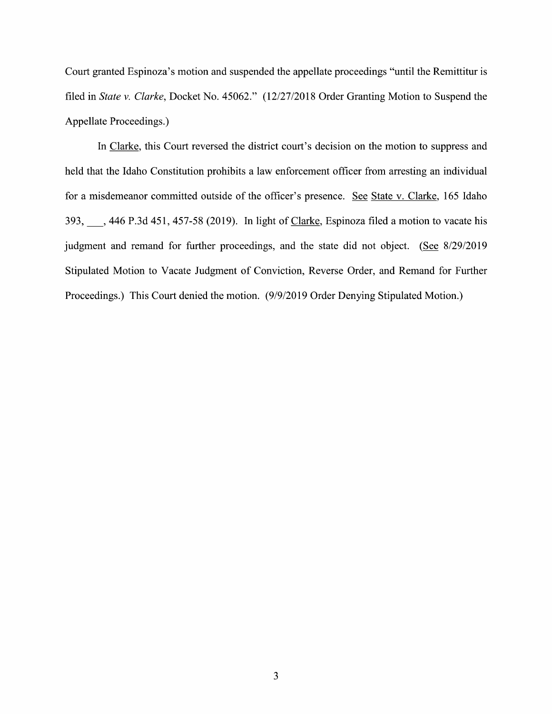Court granted Espinoza's motion and suspended the appellate proceedings "until the Remittitur is filed in State v. Clarke, Docket No. 45062." (12/27/2018 Order Granting Motion to Suspend the Appellate Proceedings.)

In Clarke, this Court reversed the district court's decision on the motion to suppress and held that the Idaho Constitution prohibits a law enforcement officer from arresting an individual for a misdemeanor committed outside of the officer's presence. See State v. Clarke, 165 Idaho 393, 383, 3446 P.3d 451, 457-58 (2019). In light of Clarke, Espinoza filed a motion to vacate his judgment and remand for further proceedings, and the state did not object. (See 8/29/2019 Stipulated Motion to Vacate Judgment 0f Conviction, Reverse Order, and Remand for Further Proceedings.) This Court denied the motion. (9/9/2019 Order Denying Stipulated Motion.)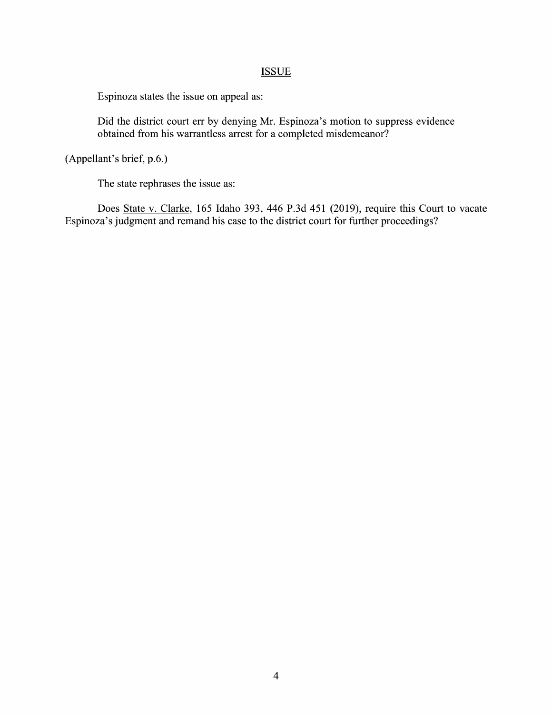## **ISSUE**

Espinoza states the issue 0n appeal as:

Did the district court err by denying Mr. Espinoza's motion to suppress evidence obtained from his warrantless arrest for a completed misdemeanor?

(Appellant's brief, p.6.)

The state rephrases the issue as:

Does State V. Clarke, 165 Idaho 393, 446 P.3d 451 (2019), require this Court to vacate Espinoza's judgment and remand his case to the district court for further proceedings?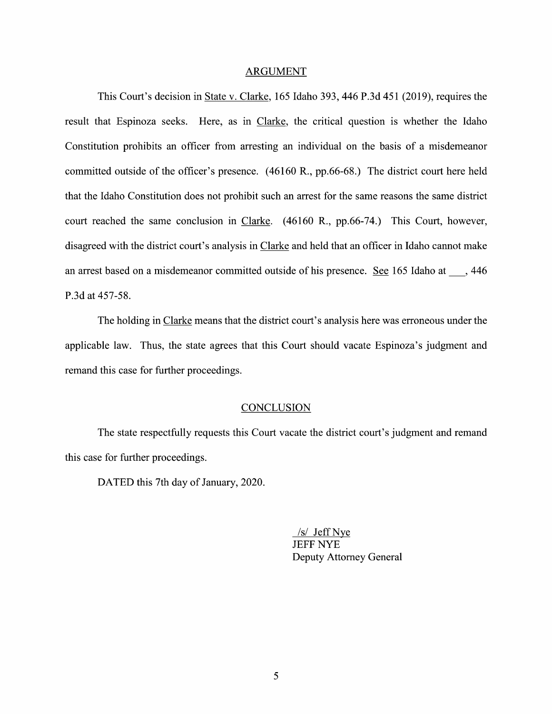#### ARGUMENT

This Court's decision in State V. Clarke, 165 Idaho 393, 446 P.3d 451 (2019), requires the result that Espinoza seeks. Here, as in Clarke, the critical question is whether the Idaho Constitution prohibits an officer from arresting an individual on the basis of a misdemeanor committed outside of the officer's presence. (46160 R., pp.66-68.) The district court here held that the Idaho Constitution does not prohibit such an arrest for the same reasons the same district court reached the same conclusion in Clarke. (46160 R., pp.66-74.) This Court, however, disagreed With the district court's analysis in Clarke and held that an officer in Idaho cannot make an arrest based on a misdemeanor committed outside of his presence. See 165 Idaho at , 446 P.3d at 457-58.

The holding in Clarke means that the district court's analysis here was erroneous under the applicable law. Thus, the state agrees that this Court should vacate Espinoza's judgment and remand this case for further proceedings.

### **CONCLUSION**

The state respectfully requests this Court vacate the district court's judgment and remand this case for further proceedings.

DATED this 7th day of January, 2020.

/s/ Jeff Nye JEFF NYE Deputy Attorney General